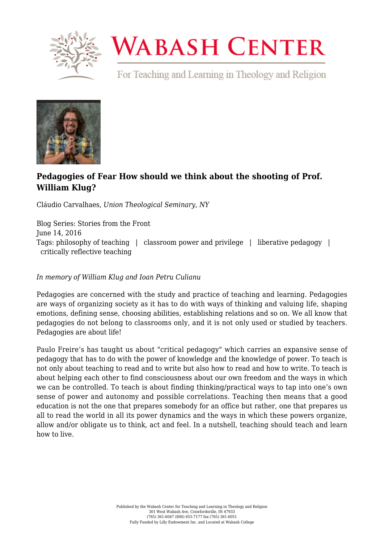

## **WABASH CENTER**

For Teaching and Learning in Theology and Religion



## **[Pedagogies of Fear How should we think about the shooting of Prof.](https://www.wabashcenter.wabash.edu/2016/06/pedagogies-of-fear-how-should-we-think-about-the-shooting-of-prof-william-klug-6/) [William Klug?](https://www.wabashcenter.wabash.edu/2016/06/pedagogies-of-fear-how-should-we-think-about-the-shooting-of-prof-william-klug-6/)**

Cláudio Carvalhaes, *Union Theological Seminary, NY*

Blog Series: Stories from the Front June 14, 2016 Tags: philosophy of teaching | classroom power and privilege | liberative pedagogy | critically reflective teaching

## *In memory of William Klug and Ioan Petru Culianu*

Pedagogies are concerned with the study and practice of teaching and learning. Pedagogies are ways of organizing society as it has to do with ways of thinking and valuing life, shaping emotions, defining sense, choosing abilities, establishing relations and so on. We all know that pedagogies do not belong to classrooms only, and it is not only used or studied by teachers. Pedagogies are about life!

Paulo Freire's has taught us about "critical pedagogy" which carries an expansive sense of pedagogy that has to do with the power of knowledge and the knowledge of power. To teach is not only about teaching to read and to write but also how to read and how to write. To teach is about helping each other to find consciousness about our own freedom and the ways in which we can be controlled. To teach is about finding thinking/practical ways to tap into one's own sense of power and autonomy and possible correlations. Teaching then means that a good education is not the one that prepares somebody for an office but rather, one that prepares us all to read the world in all its power dynamics and the ways in which these powers organize, allow and/or obligate us to think, act and feel. In a nutshell, teaching should teach and learn how to live.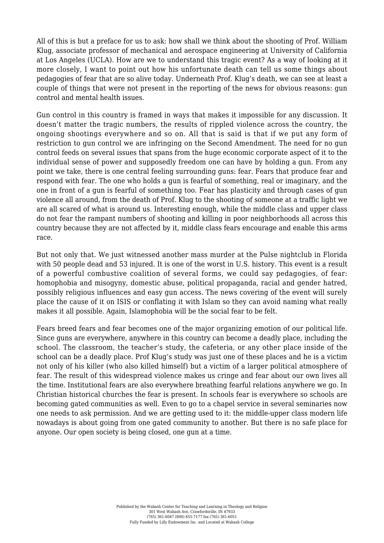All of this is but a preface for us to ask: how shall we think about the shooting of Prof. William Klug, associate professor of mechanical and aerospace engineering at University of California at Los Angeles (UCLA). How are we to understand this tragic event? As a way of looking at it more closely, I want to point out how his unfortunate death can tell us some things about pedagogies of fear that are so alive today. Underneath Prof. Klug's death, we can see at least a couple of things that were not present in the reporting of the news for obvious reasons: gun control and mental health issues.

Gun control in this country is framed in ways that makes it impossible for any discussion. It doesn't matter the tragic numbers, the results of rippled violence across the country, the ongoing shootings everywhere and so on. All that is said is that if we put any form of restriction to gun control we are infringing on the Second Amendment. The need for no gun control feeds on several issues that spans from the huge economic corporate aspect of it to the individual sense of power and supposedly freedom one can have by holding a gun. From any point we take, there is one central feeling surrounding guns: fear. Fears that produce fear and respond with fear. The one who holds a gun is fearful of something, real or imaginary, and the one in front of a gun is fearful of something too. Fear has plasticity and through cases of gun violence all around, from the death of Prof. Klug to the shooting of someone at a traffic light we are all scared of what is around us. Interesting enough, while the middle class and upper class do not fear the rampant numbers of shooting and killing in poor neighborhoods all across this country because they are not affected by it, middle class fears encourage and enable this arms race.

But not only that. We just witnessed another mass murder at the Pulse nightclub in Florida with 50 people dead and 53 injured. It is one of the worst in U.S. history. This event is a result of a powerful combustive coalition of several forms, we could say pedagogies, of fear: homophobia and misogyny, domestic abuse, political propaganda, racial and gender hatred, possibly religious influences and easy gun access. The news covering of the event will surely place the cause of it on ISIS or conflating it with Islam so they can avoid naming what really makes it all possible. Again, Islamophobia will be the social fear to be felt.

Fears breed fears and fear becomes one of the major organizing emotion of our political life. Since guns are everywhere, anywhere in this country can become a deadly place, including the school. The classroom, the teacher's study, the cafeteria, or any other place inside of the school can be a deadly place. Prof Klug's study was just one of these places and he is a victim not only of his killer (who also killed himself) but a victim of a larger political atmosphere of fear. The result of this widespread violence makes us cringe and fear about our own lives all the time. Institutional fears are also everywhere breathing fearful relations anywhere we go. In Christian historical churches the fear is present. In schools fear is everywhere so schools are becoming gated communities as well. Even to go to a chapel service in several seminaries now one needs to ask permission. And we are getting used to it: the middle-upper class modern life nowadays is about going from one gated community to another. But there is no safe place for anyone. Our open society is being closed, one gun at a time.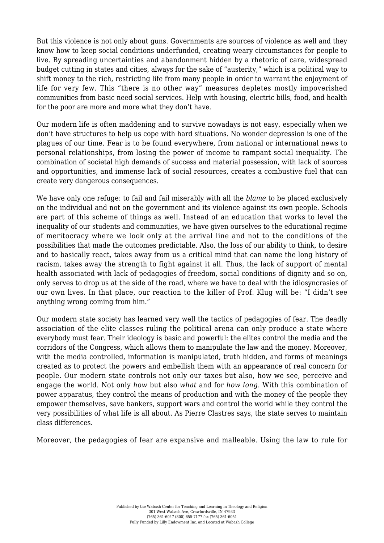But this violence is not only about guns. Governments are sources of violence as well and they know how to keep social conditions underfunded, creating weary circumstances for people to live. By spreading uncertainties and abandonment hidden by a rhetoric of care, widespread budget cutting in states and cities, always for the sake of "austerity," which is a political way to shift money to the rich, restricting life from many people in order to warrant the enjoyment of life for very few. This "there is no other way" measures depletes mostly impoverished communities from basic need social services. Help with housing, electric bills, food, and health for the poor are more and more what they don't have.

Our modern life is often maddening and to survive nowadays is not easy, especially when we don't have structures to help us cope with hard situations. No wonder depression is one of the plagues of our time. Fear is to be found everywhere, from national or international news to personal relationships, from losing the power of income to rampant social inequality. The combination of societal high demands of success and material possession, with lack of sources and opportunities, and immense lack of social resources, creates a combustive fuel that can create very dangerous consequences.

We have only one refuge: to fail and fail miserably with all the *blame* to be placed exclusively on the individual and not on the government and its violence against its own people. Schools are part of this scheme of things as well. Instead of an education that works to level the inequality of our students and communities, we have given ourselves to the educational regime of meritocracy where we look only at the arrival line and not to the conditions of the possibilities that made the outcomes predictable. Also, the loss of our ability to think, to desire and to basically react, takes away from us a critical mind that can name the long history of racism, takes away the strength to fight against it all. Thus, the lack of support of mental health associated with lack of pedagogies of freedom, social conditions of dignity and so on, only serves to drop us at the side of the road, where we have to deal with the idiosyncrasies of our own lives. In that place, our reaction to the killer of Prof. Klug will be: "I didn't see anything wrong coming from him."

Our modern state society has learned very well the tactics of pedagogies of fear. The deadly association of the elite classes ruling the political arena can only produce a state where everybody must fear. Their ideology is basic and powerful: the elites control the media and the corridors of the Congress, which allows them to manipulate the law and the money. Moreover, with the media controlled, information is manipulated, truth hidden, and forms of meanings created as to protect the powers and embellish them with an appearance of real concern for people. Our modern state controls not only our taxes but also, how we see, perceive and engage the world. Not only *how* but also *what* and for *how long*. With this combination of power apparatus, they control the means of production and with the money of the people they empower themselves, save bankers, support wars and control the world while they control the very possibilities of what life is all about. As Pierre Clastres says, the state serves to maintain class differences.

Moreover, the pedagogies of fear are expansive and malleable. Using the law to rule for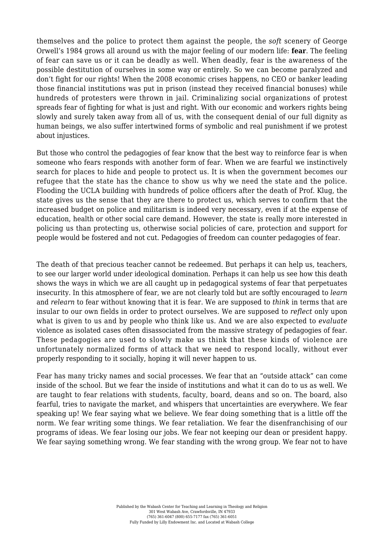themselves and the police to protect them against the people, the *soft* scenery of George Orwell's 1984 grows all around us with the major feeling of our modern life: **fear**. The feeling of fear can save us or it can be deadly as well. When deadly, fear is the awareness of the possible destitution of ourselves in some way or entirely. So we can become paralyzed and don't fight for our rights! When the 2008 economic crises happens, no CEO or banker leading those financial institutions was put in prison (instead they received financial bonuses) while hundreds of protesters were thrown in jail. Criminalizing social organizations of protest spreads fear of fighting for what is just and right. With our economic and workers rights being slowly and surely taken away from all of us, with the consequent denial of our full dignity as human beings, we also suffer intertwined forms of symbolic and real punishment if we protest about injustices.

But those who control the pedagogies of fear know that the best way to reinforce fear is when someone who fears responds with another form of fear. When we are fearful we instinctively search for places to hide and people to protect us. It is when the government becomes our refugee that the state has the chance to show us why we need the state and the police. Flooding the UCLA building with hundreds of police officers after the death of Prof. Klug, the state gives us the sense that they are there to protect us, which serves to confirm that the increased budget on police and militarism is indeed very necessary, even if at the expense of education, health or other social care demand. However, the state is really more interested in policing us than protecting us, otherwise social policies of care, protection and support for people would be fostered and not cut. Pedagogies of freedom can counter pedagogies of fear.

The death of that precious teacher cannot be redeemed. But perhaps it can help us, teachers, to see our larger world under ideological domination. Perhaps it can help us see how this death shows the ways in which we are all caught up in pedagogical systems of fear that perpetuates insecurity. In this atmosphere of fear, we are not clearly told but are softly encouraged to *learn* and *relearn* to fear without knowing that it is fear. We are supposed to *think* in terms that are insular to our own fields in order to protect ourselves. We are supposed to *reflect* only upon what is given to us and by people who think like us. And we are also expected to *evaluate* violence as isolated cases often disassociated from the massive strategy of pedagogies of fear. These pedagogies are used to slowly make us think that these kinds of violence are unfortunately normalized forms of attack that we need to respond locally, without ever properly responding to it socially, hoping it will never happen to us.

Fear has many tricky names and social processes. We fear that an "outside attack" can come inside of the school. But we fear the inside of institutions and what it can do to us as well. We are taught to fear relations with students, faculty, board, deans and so on. The board, also fearful, tries to navigate the market, and whispers that uncertainties are everywhere. We fear speaking up! We fear saying what we believe. We fear doing something that is a little off the norm. We fear writing some things. We fear retaliation. We fear the disenfranchising of our programs of ideas. We fear losing our jobs. We fear not keeping our dean or president happy. We fear saying something wrong. We fear standing with the wrong group. We fear not to have